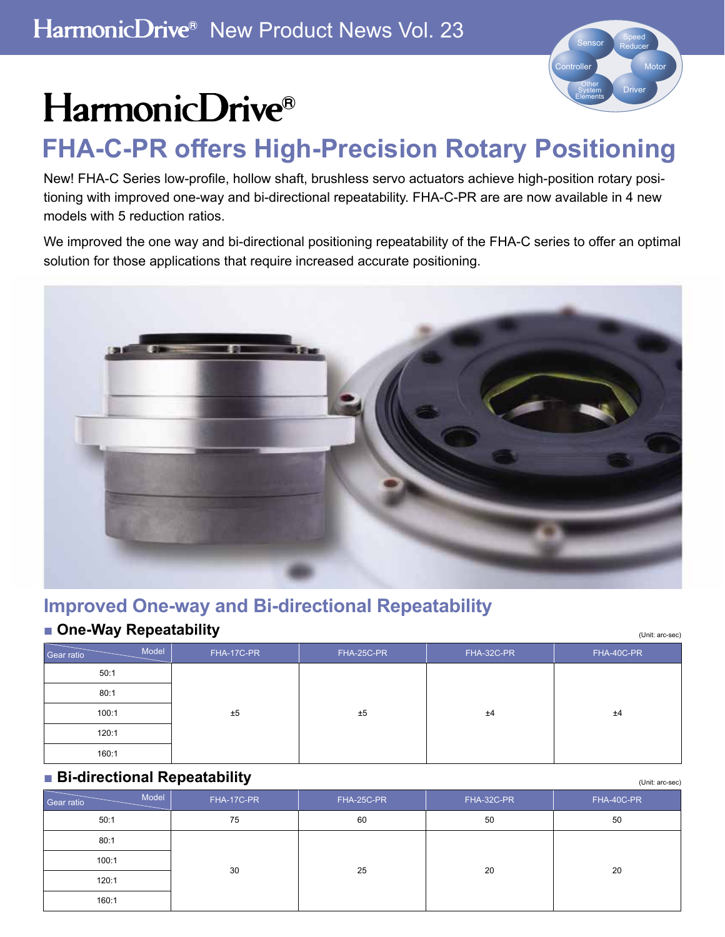

(Unit: arc-sec)

# HarmonicDrive®

# **FHA-C-PR offers High-Precision Rotary Positioning**

New! FHA-C Series low-profile, hollow shaft, brushless servo actuators achieve high-position rotary positioning with improved one-way and bi-directional repeatability. FHA-C-PR are are now available in 4 new models with 5 reduction ratios.

We improved the one way and bi-directional positioning repeatability of the FHA-C series to offer an optimal solution for those applications that require increased accurate positioning.



# **Improved One-way and Bi-directional Repeatability**

## ■ One-Way Repeatability

| <b>De-way Repeatability</b><br>(Unit: arc-sec) |            |            |            |            |  |  |  |  |  |  |
|------------------------------------------------|------------|------------|------------|------------|--|--|--|--|--|--|
| Model<br>Gear ratio                            | FHA-17C-PR | FHA-25C-PR | FHA-32C-PR | FHA-40C-PR |  |  |  |  |  |  |
| 50:1                                           |            |            |            |            |  |  |  |  |  |  |
| 80:1                                           |            |            |            |            |  |  |  |  |  |  |
| 100:1                                          | ±5         | ±5         | ±4         | ±4         |  |  |  |  |  |  |
| 120:1                                          |            |            |            |            |  |  |  |  |  |  |
| 160:1                                          |            |            |            |            |  |  |  |  |  |  |

### ■ **Bi-directional Repeatability**

| Model<br>Gear ratio | FHA-17C-PR | FHA-25C-PR | FHA-32C-PR | FHA-40C-PR |
|---------------------|------------|------------|------------|------------|
| 50:1                | 75         | 60         | 50         | 50         |
| 80:1                |            |            |            |            |
| 100:1               | 30         | 25         | 20         | 20         |
| 120:1               |            |            |            |            |
| 160:1               |            |            |            |            |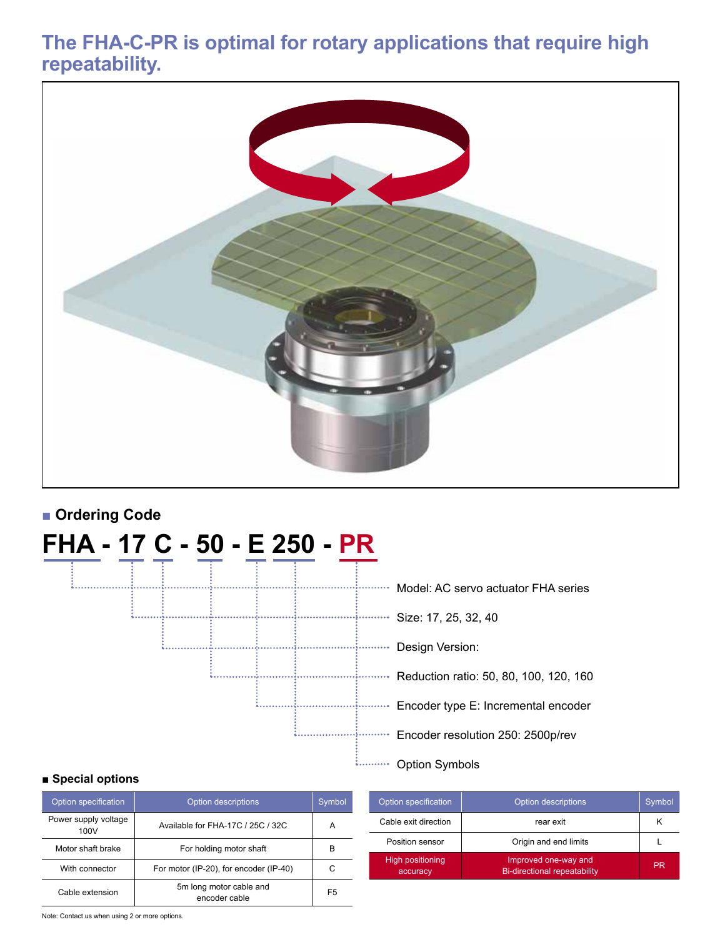# **The FHA-C-PR is optimal for rotary applications that require high repeatability.**



# ■ **Ordering Code**

# **FHA - 17 C - 50 - E 250 - PR** .<br>L. . . . . . . . . . . . . . . . Model: AC servo actuator FHA series . . . . . . . . . . . . .<br>6. . . . . . . . . . . . . . Design Version:

| MUUCI. AU SEI IU AUUAIUI TIIA SEITES     |
|------------------------------------------|
| $\cdot$ Size: 17, 25, 32, 40             |
| Design Version:                          |
| · Reduction ratio: 50, 80, 100, 120, 160 |
| Encoder type E: Incremental encoder      |
| Encoder resolution 250: 2500p/rev        |
|                                          |

i........... Option Symbols

#### **■ Special options**

| Option specification         | <b>Option descriptions</b>               | Symbol         |
|------------------------------|------------------------------------------|----------------|
| Power supply voltage<br>100V | Available for FHA-17C / 25C / 32C        | А              |
| Motor shaft brake            | For holding motor shaft                  | в              |
| With connector               | For motor (IP-20), for encoder (IP-40)   | C              |
| Cable extension              | 5m long motor cable and<br>encoder cable | F <sub>5</sub> |

| Option specification                | Option descriptions                                         | Symbol,   |
|-------------------------------------|-------------------------------------------------------------|-----------|
| Cable exit direction                | rear exit                                                   | κ         |
| Position sensor                     | Origin and end limits                                       |           |
| <b>High positioning</b><br>accuracy | Improved one-way and<br><b>Bi-directional repeatability</b> | <b>PR</b> |

Note: Contact us when using 2 or more options.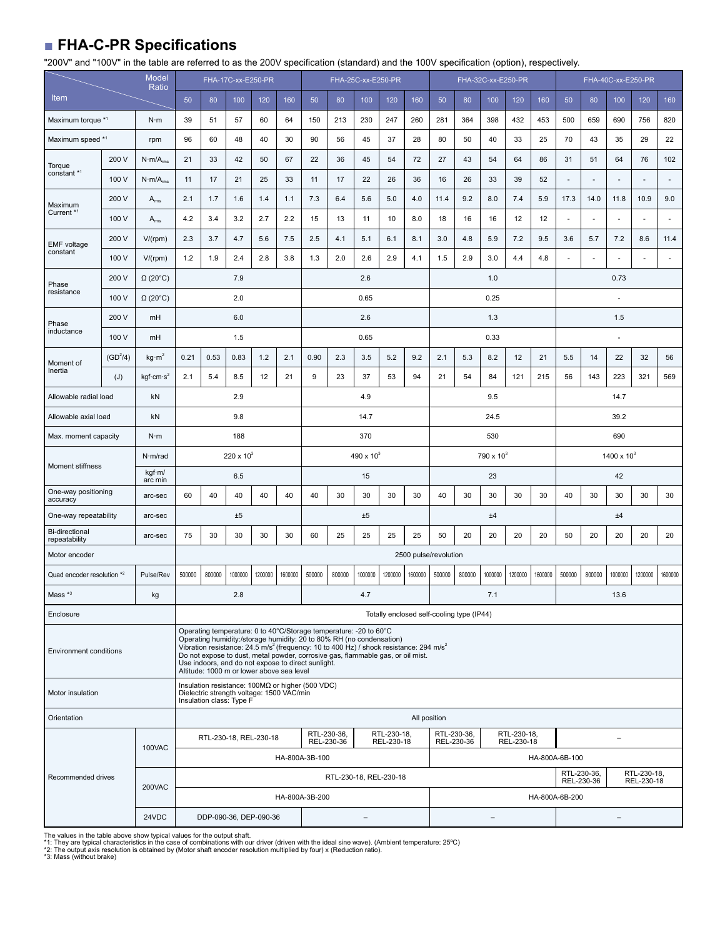## ■ **FHA-C-PR Specifications**

"200V" and "100V" in the table are referred to as the 200V specification (standard) and the 100V specification (option), respectively.

|                                        | <b>Model</b><br>Ratio |                              |              |                                                                                                                           | FHA-17C-xx-E250-PR |         |         |                       |                                                                                                                                                                                                                                                                                                                                                | FHA-25C-xx-E250-PR |                           |              |                                           |        | FHA-32C-xx-E250-PR   |                           |         |                           |        | FHA-40C-xx-E250-PR |                           |         |
|----------------------------------------|-----------------------|------------------------------|--------------|---------------------------------------------------------------------------------------------------------------------------|--------------------|---------|---------|-----------------------|------------------------------------------------------------------------------------------------------------------------------------------------------------------------------------------------------------------------------------------------------------------------------------------------------------------------------------------------|--------------------|---------------------------|--------------|-------------------------------------------|--------|----------------------|---------------------------|---------|---------------------------|--------|--------------------|---------------------------|---------|
| Item                                   |                       |                              | 50           | 80                                                                                                                        | 100                | 120     | 160     | 50                    | 80                                                                                                                                                                                                                                                                                                                                             | 100                | 120                       | 160          | 50                                        | 80     | 100                  | 120                       | 160     | 50                        | 80     | 100                | 120                       | 160     |
| Maximum torque *1                      |                       | $N \cdot m$                  | 39           | 51                                                                                                                        | 57                 | 60      | 64      | 150                   | 213                                                                                                                                                                                                                                                                                                                                            | 230                | 247                       | 260          | 281                                       | 364    | 398                  | 432                       | 453     | 500                       | 659    | 690                | 756                       | 820     |
| Maximum speed *1                       |                       | rpm                          | 96           | 60                                                                                                                        | 48                 | 40      | 30      | 90                    | 56                                                                                                                                                                                                                                                                                                                                             | 45                 | 37                        | 28           | 80                                        | 50     | 40                   | 33                        | 25      | 70                        | 43     | 35                 | 29                        | 22      |
| Torque                                 | 200 V                 | $N \cdot m/A_{rms}$          | 21           | 33                                                                                                                        | 42                 | 50      | 67      | 22                    | 36                                                                                                                                                                                                                                                                                                                                             | 45                 | 54                        | 72           | 27                                        | 43     | 54                   | 64                        | 86      | 31                        | 51     | 64                 | 76                        | 102     |
| constant *1                            | 100 V                 | $N \cdot m/A$ <sub>rms</sub> | 11           | 17                                                                                                                        | 21                 | 25      | 33      | 11                    | 17                                                                                                                                                                                                                                                                                                                                             | 22                 | 26                        | 36           | 16                                        | 26     | 33                   | 39                        | 52      |                           |        |                    |                           |         |
| Maximum                                | 200 V                 | $\mathsf{A}_{\mathsf{rms}}$  | 2.1          | 1.7                                                                                                                       | 1.6                | 1.4     | 1.1     | 7.3                   | 6.4                                                                                                                                                                                                                                                                                                                                            | 5.6                | 5.0                       | 4.0          | 11.4                                      | 9.2    | 8.0                  | 7.4                       | 5.9     | 17.3                      | 14.0   | 11.8               | 10.9                      | 9.0     |
| Current <sup>*1</sup>                  | 100 V                 | $A_{rms}$                    | 4.2          | 3.4                                                                                                                       | 3.2                | 2.7     | 2.2     | 15                    | 13                                                                                                                                                                                                                                                                                                                                             | 11                 | 10                        | 8.0          | 18                                        | 16     | 16                   | 12                        | 12      | ÷.                        | ÷.     | ä,                 | ä,                        | ÷.      |
| <b>EMF</b> voltage                     | 200 V                 | V/(rpm)                      | 2.3          | 3.7                                                                                                                       | 4.7                | 5.6     | 7.5     | 2.5                   | 4.1                                                                                                                                                                                                                                                                                                                                            | 5.1                | 6.1                       | 8.1          | 3.0                                       | 4.8    | 5.9                  | 7.2                       | 9.5     | 3.6                       | 5.7    | 7.2                | 8.6                       | 11.4    |
| constant                               | 100 V                 | V/(rpm)                      | 1.2          | 1.9                                                                                                                       | 2.4                | 2.8     | 3.8     | 1.3                   | 2.0                                                                                                                                                                                                                                                                                                                                            | 2.6                | 2.9                       | 4.1          | 1.5                                       | 2.9    | 3.0                  | 4.4                       | 4.8     |                           |        |                    |                           |         |
| Phase                                  | 200 V                 | $\Omega$ (20 $^{\circ}$ C)   |              |                                                                                                                           | 7.9                |         |         |                       |                                                                                                                                                                                                                                                                                                                                                | 2.6                |                           |              |                                           |        | 1.0                  |                           |         |                           |        | 0.73               |                           |         |
| resistance                             | 100 V                 | $\Omega$ (20 $^{\circ}$ C)   |              |                                                                                                                           | 2.0                |         |         |                       |                                                                                                                                                                                                                                                                                                                                                | 0.65               |                           |              |                                           |        | 0.25                 |                           |         |                           |        | $\sim$             |                           |         |
| Phase                                  | 200 V                 | mH                           |              |                                                                                                                           | 6.0                |         |         |                       |                                                                                                                                                                                                                                                                                                                                                | 2.6                |                           |              |                                           |        | 1.3                  |                           |         |                           |        | 1.5                |                           |         |
| inductance                             | 100 V                 | mH                           |              |                                                                                                                           | 1.5                |         |         |                       |                                                                                                                                                                                                                                                                                                                                                | 0.65               |                           |              |                                           |        | 0.33                 |                           |         |                           |        |                    |                           |         |
| Moment of                              | $(GD^2/4)$            | kg·m <sup>2</sup>            | 0.21         | 0.53                                                                                                                      | 0.83               | 1.2     | 2.1     | 0.90                  | 2.3                                                                                                                                                                                                                                                                                                                                            | 3.5                | 5.2                       | 9.2          | 2.1                                       | 5.3    | 8.2                  | 12                        | 21      | 5.5                       | 14     | 22                 | 32                        | 56      |
| Inertia                                | (J)                   | kgf cm·s <sup>2</sup>        | 2.1          | 5.4                                                                                                                       | 8.5                | 12      | 21      | 9                     | 23                                                                                                                                                                                                                                                                                                                                             | 37                 | 53                        | 94           | 21                                        | 54     | 84                   | 121                       | 215     | 56                        | 143    | 223                | 321                       | 569     |
| Allowable radial load                  |                       | kN                           |              |                                                                                                                           | 2.9                |         |         |                       |                                                                                                                                                                                                                                                                                                                                                | 4.9                |                           |              |                                           |        | 9.5                  |                           |         |                           |        | 14.7               |                           |         |
| Allowable axial load                   |                       | kN                           |              |                                                                                                                           | 9.8                |         |         | 14.7                  |                                                                                                                                                                                                                                                                                                                                                |                    |                           |              | 24.5                                      |        |                      |                           |         | 39.2                      |        |                    |                           |         |
| Max. moment capacity                   |                       | $N \cdot m$                  |              |                                                                                                                           | 188                |         |         |                       |                                                                                                                                                                                                                                                                                                                                                | 370                |                           |              | 530                                       |        |                      |                           | 690     |                           |        |                    |                           |         |
| Moment stiffness                       |                       | N·m/rad                      | 220 x $10^3$ |                                                                                                                           |                    |         |         | 490 x 10 <sup>3</sup> |                                                                                                                                                                                                                                                                                                                                                |                    | 790 x 10 <sup>3</sup>     |              |                                           |        | $1400 \times 10^{3}$ |                           |         |                           |        |                    |                           |         |
|                                        |                       | kgf·m/<br>arc min            |              |                                                                                                                           | 6.5                |         |         |                       |                                                                                                                                                                                                                                                                                                                                                | 15                 |                           |              | 23                                        |        |                      |                           |         | 42                        |        |                    |                           |         |
| One-way positioning<br>accuracy        |                       | arc-sec                      | 60           | 40                                                                                                                        | 40                 | 40      | 40      | 40                    | 30                                                                                                                                                                                                                                                                                                                                             | 30                 | 30                        | 30           | 40                                        | 30     | 30                   | 30                        | 30      | 40                        | 30     | 30                 | 30                        | 30      |
| One-way repeatability                  |                       | arc-sec                      |              |                                                                                                                           | ±5                 |         |         |                       |                                                                                                                                                                                                                                                                                                                                                | ±5                 |                           |              |                                           |        | ±4                   |                           |         |                           |        | ±4                 |                           |         |
| <b>Bi-directional</b><br>repeatability |                       | arc-sec                      | 75           | 30                                                                                                                        | 30                 | 30      | 30      | 60                    | 25                                                                                                                                                                                                                                                                                                                                             |                    |                           |              |                                           | 20     | 20                   | 20                        | 20      | 50                        | 20     | 20                 | 20                        | 20      |
| Motor encoder                          |                       |                              |              |                                                                                                                           |                    |         |         |                       |                                                                                                                                                                                                                                                                                                                                                | 25                 | 25                        | 25           | 50                                        |        |                      |                           |         |                           |        |                    |                           |         |
| Quad encoder resolution *2             |                       |                              |              |                                                                                                                           |                    |         |         |                       |                                                                                                                                                                                                                                                                                                                                                |                    |                           |              | 2500 pulse/revolution                     |        |                      |                           |         |                           |        |                    |                           |         |
|                                        |                       | Pulse/Rev                    | 500000       | 800000                                                                                                                    | 1000000            | 1200000 | 1600000 | 500000                | 800000                                                                                                                                                                                                                                                                                                                                         | 1000000            | 1200000                   | 1600000      | 500000                                    | 800000 | 1000000              | 1200000                   | 1600000 | 500000                    | 800000 | 1000000            | 1200000                   | 1600000 |
| Mass <sup>*3</sup>                     |                       | kg                           |              |                                                                                                                           | 2.8                |         |         |                       |                                                                                                                                                                                                                                                                                                                                                | 4.7                |                           |              |                                           |        | 7.1                  |                           |         |                           |        | 13.6               |                           |         |
| Enclosure                              |                       |                              |              |                                                                                                                           |                    |         |         |                       |                                                                                                                                                                                                                                                                                                                                                |                    |                           |              | Totally enclosed self-cooling type (IP44) |        |                      |                           |         |                           |        |                    |                           |         |
| <b>Environment conditions</b>          |                       |                              |              | Use indoors, and do not expose to direct sunlight.<br>Altitude: 1000 m or lower above sea level                           |                    |         |         |                       | Operating temperature: 0 to 40°C/Storage temperature: - 20 to 60°C<br>Operating humidity:/storage humidity: 20 to 80% RH (no condensation)<br>Vibration resistance: $24.5 \text{ m/s}^2$ (frequency: 10 to 400 Hz) / shock resistance: 294 m/s <sup>2</sup><br>Do not expose to dust, metal powder, corrosive gas, flammable gas, or oil mist. |                    |                           |              |                                           |        |                      |                           |         |                           |        |                    |                           |         |
| Motor insulation                       |                       |                              |              | Insulation resistance: 100MΩ or higher (500 VDC)<br>Dielectric strength voltage: 1500 VAC/min<br>Insulation class: Type F |                    |         |         |                       |                                                                                                                                                                                                                                                                                                                                                |                    |                           |              |                                           |        |                      |                           |         |                           |        |                    |                           |         |
| Orientation                            |                       |                              |              |                                                                                                                           |                    |         |         |                       |                                                                                                                                                                                                                                                                                                                                                |                    |                           | All position |                                           |        |                      |                           |         |                           |        |                    |                           |         |
|                                        |                       |                              |              | RTL-230-18, REL-230-18                                                                                                    |                    |         |         |                       | RTL-230-36,<br>REL-230-36                                                                                                                                                                                                                                                                                                                      |                    | RTL-230-18,<br>REL-230-18 |              | RTL-230-36,<br>REL-230-36                 |        |                      | RTL-230-18,<br>REL-230-18 |         |                           |        | ÷                  |                           |         |
|                                        |                       | <b>100VAC</b>                |              |                                                                                                                           |                    |         |         | HA-800A-3B-100        |                                                                                                                                                                                                                                                                                                                                                |                    |                           |              |                                           |        |                      |                           |         | HA-800A-6B-100            |        |                    |                           |         |
| Recommended drives                     |                       |                              |              |                                                                                                                           |                    |         |         |                       | RTL-230-18, REL-230-18                                                                                                                                                                                                                                                                                                                         |                    |                           |              |                                           |        |                      |                           |         | RTL-230-36,<br>REL-230-36 |        |                    | RTL-230-18,<br>REL-230-18 |         |
|                                        |                       | 200VAC                       |              |                                                                                                                           |                    |         |         | HA-800A-3B-200        |                                                                                                                                                                                                                                                                                                                                                |                    |                           |              |                                           |        |                      |                           |         | HA-800A-6B-200            |        |                    |                           |         |

The values in the table above show typical values for the output shaft.<br>\*1: They are typical characteristics in the case of combinations with our driver (driven with the ideal sine wave). (Ambient temperature: 25°C)<br>\*2: Th